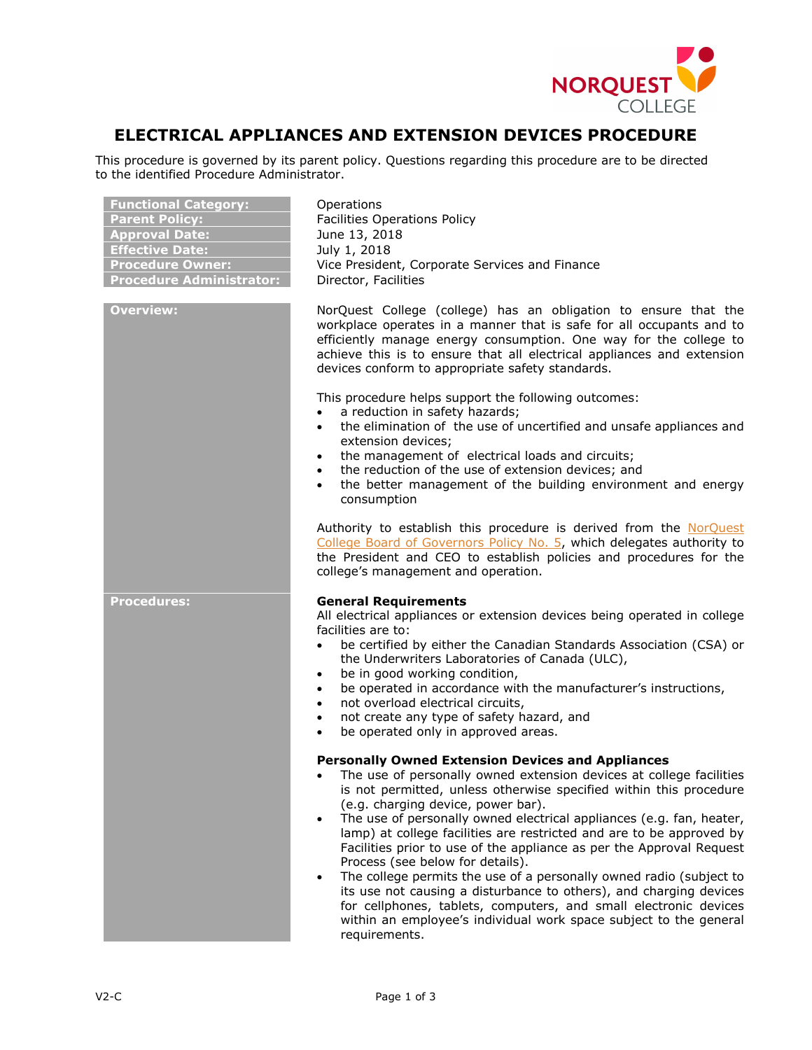

## **ELECTRICAL APPLIANCES AND EXTENSION DEVICES PROCEDURE**

This procedure is governed by its parent policy. Questions regarding this procedure are to be directed to the identified Procedure Administrator.

| <b>Functional Category:</b><br><b>Parent Policy:</b><br><b>Approval Date:</b><br><b>Effective Date:</b><br><b>Procedure Owner:</b><br><b>Procedure Administrator:</b> | Operations<br><b>Facilities Operations Policy</b><br>June 13, 2018<br>July 1, 2018<br>Vice President, Corporate Services and Finance<br>Director, Facilities                                                                                                                                                                                                                                                                                                                                                                                                                                                                                                                                                                                                                                                                             |
|-----------------------------------------------------------------------------------------------------------------------------------------------------------------------|------------------------------------------------------------------------------------------------------------------------------------------------------------------------------------------------------------------------------------------------------------------------------------------------------------------------------------------------------------------------------------------------------------------------------------------------------------------------------------------------------------------------------------------------------------------------------------------------------------------------------------------------------------------------------------------------------------------------------------------------------------------------------------------------------------------------------------------|
| <b>Overview:</b>                                                                                                                                                      | NorQuest College (college) has an obligation to ensure that the<br>workplace operates in a manner that is safe for all occupants and to<br>efficiently manage energy consumption. One way for the college to<br>achieve this is to ensure that all electrical appliances and extension<br>devices conform to appropriate safety standards.<br>This procedure helps support the following outcomes:<br>a reduction in safety hazards;<br>$\bullet$<br>the elimination of the use of uncertified and unsafe appliances and<br>$\bullet$                                                                                                                                                                                                                                                                                                    |
|                                                                                                                                                                       | extension devices;<br>the management of electrical loads and circuits;<br>$\bullet$<br>the reduction of the use of extension devices; and<br>$\bullet$<br>the better management of the building environment and energy<br>$\bullet$<br>consumption                                                                                                                                                                                                                                                                                                                                                                                                                                                                                                                                                                                       |
|                                                                                                                                                                       | Authority to establish this procedure is derived from the NorQuest<br>College Board of Governors Policy No. 5, which delegates authority to<br>the President and CEO to establish policies and procedures for the<br>college's management and operation.                                                                                                                                                                                                                                                                                                                                                                                                                                                                                                                                                                                 |
| <b>Procedures:</b>                                                                                                                                                    | <b>General Requirements</b><br>All electrical appliances or extension devices being operated in college<br>facilities are to:<br>be certified by either the Canadian Standards Association (CSA) or<br>$\bullet$<br>the Underwriters Laboratories of Canada (ULC),<br>be in good working condition,<br>٠<br>be operated in accordance with the manufacturer's instructions,<br>$\bullet$<br>not overload electrical circuits,<br>$\bullet$<br>not create any type of safety hazard, and<br>$\bullet$<br>be operated only in approved areas.<br>٠                                                                                                                                                                                                                                                                                         |
|                                                                                                                                                                       | <b>Personally Owned Extension Devices and Appliances</b><br>The use of personally owned extension devices at college facilities<br>is not permitted, unless otherwise specified within this procedure<br>(e.g. charging device, power bar).<br>The use of personally owned electrical appliances (e.g. fan, heater,<br>$\bullet$<br>lamp) at college facilities are restricted and are to be approved by<br>Facilities prior to use of the appliance as per the Approval Request<br>Process (see below for details).<br>The college permits the use of a personally owned radio (subject to<br>$\bullet$<br>its use not causing a disturbance to others), and charging devices<br>for cellphones, tablets, computers, and small electronic devices<br>within an employee's individual work space subject to the general<br>requirements. |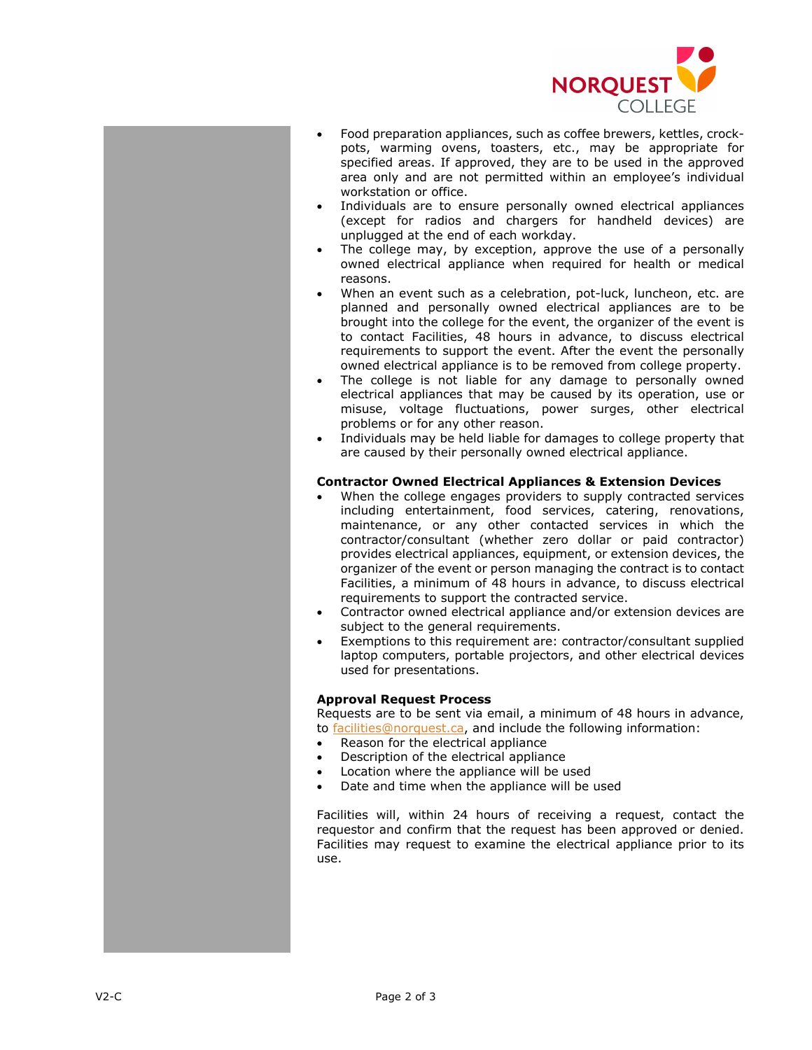

- Food preparation appliances, such as coffee brewers, kettles, crockpots, warming ovens, toasters, etc., may be appropriate for specified areas. If approved, they are to be used in the approved area only and are not permitted within an employee's individual workstation or office.
- Individuals are to ensure personally owned electrical appliances (except for radios and chargers for handheld devices) are unplugged at the end of each workday.
- The college may, by exception, approve the use of a personally owned electrical appliance when required for health or medical reasons.
- When an event such as a celebration, pot-luck, luncheon, etc. are planned and personally owned electrical appliances are to be brought into the college for the event, the organizer of the event is to contact Facilities, 48 hours in advance, to discuss electrical requirements to support the event. After the event the personally owned electrical appliance is to be removed from college property.
- The college is not liable for any damage to personally owned electrical appliances that may be caused by its operation, use or misuse, voltage fluctuations, power surges, other electrical problems or for any other reason.
- Individuals may be held liable for damages to college property that are caused by their personally owned electrical appliance.

## **Contractor Owned Electrical Appliances & Extension Devices**

- When the college engages providers to supply contracted services including entertainment, food services, catering, renovations, maintenance, or any other contacted services in which the contractor/consultant (whether zero dollar or paid contractor) provides electrical appliances, equipment, or extension devices, the organizer of the event or person managing the contract is to contact Facilities, a minimum of 48 hours in advance, to discuss electrical requirements to support the contracted service.
- Contractor owned electrical appliance and/or extension devices are subject to the general requirements.
- Exemptions to this requirement are: contractor/consultant supplied laptop computers, portable projectors, and other electrical devices used for presentations.

## **Approval Request Process**

Requests are to be sent via email, a minimum of 48 hours in advance, to [facilities@norquest.ca,](mailto:facilities@norquest.ca) and include the following information:

- Reason for the electrical appliance
- Description of the electrical appliance
- Location where the appliance will be used
- Date and time when the appliance will be used

Facilities will, within 24 hours of receiving a request, contact the requestor and confirm that the request has been approved or denied. Facilities may request to examine the electrical appliance prior to its use.